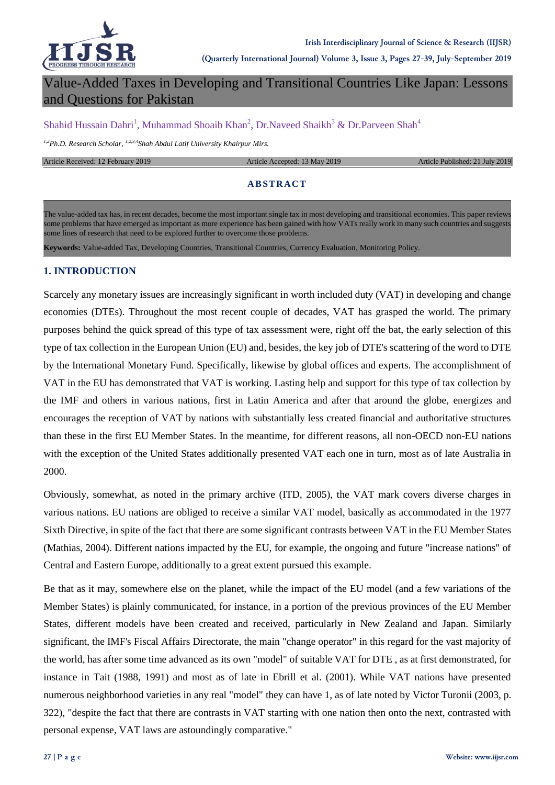

# Value-Added Taxes in Developing and Transitional Countries Like Japan: Lessons and Questions for Pakistan

Shahid Hussain Dahri<sup>1</sup>, Muhammad Shoaib Khan<sup>2</sup>, Dr.Naveed Shaikh<sup>3</sup> & Dr.Parveen Shah<sup>4</sup>

*1,2Ph.D. Research Scholar, 1,2,3,4Shah Abdul Latif University Khairpur Mirs.*

#### Article Received: 12 February 2019 **Article Accepted: 13 May 2019** Article Published: 21 July 2019

### **ABSTRACT**

The value-added tax has, in recent decades, become the most important single tax in most developing and transitional economies. This paper reviews some problems that have emerged as important as more experience has been gained with how VATs really work in many such countries and suggests some lines of research that need to be explored further to overcome those problems.

**Keywords:** Value-added Tax, Developing Countries, Transitional Countries, Currency Evaluation, Monitoring Policy.

### **1. INTRODUCTION**

Scarcely any monetary issues are increasingly significant in worth included duty (VAT) in developing and change economies (DTEs). Throughout the most recent couple of decades, VAT has grasped the world. The primary purposes behind the quick spread of this type of tax assessment were, right off the bat, the early selection of this type of tax collection in the European Union (EU) and, besides, the key job of DTE's scattering of the word to DTE by the International Monetary Fund. Specifically, likewise by global offices and experts. The accomplishment of VAT in the EU has demonstrated that VAT is working. Lasting help and support for this type of tax collection by the IMF and others in various nations, first in Latin America and after that around the globe, energizes and encourages the reception of VAT by nations with substantially less created financial and authoritative structures than these in the first EU Member States. In the meantime, for different reasons, all non-OECD non-EU nations with the exception of the United States additionally presented VAT each one in turn, most as of late Australia in 2000.

Obviously, somewhat, as noted in the primary archive (ITD, 2005), the VAT mark covers diverse charges in various nations. EU nations are obliged to receive a similar VAT model, basically as accommodated in the 1977 Sixth Directive, in spite of the fact that there are some significant contrasts between VAT in the EU Member States (Mathias, 2004). Different nations impacted by the EU, for example, the ongoing and future "increase nations" of Central and Eastern Europe, additionally to a great extent pursued this example.

Be that as it may, somewhere else on the planet, while the impact of the EU model (and a few variations of the Member States) is plainly communicated, for instance, in a portion of the previous provinces of the EU Member States, different models have been created and received, particularly in New Zealand and Japan. Similarly significant, the IMF's Fiscal Affairs Directorate, the main "change operator" in this regard for the vast majority of the world, has after some time advanced as its own "model" of suitable VAT for DTE , as at first demonstrated, for instance in Tait (1988, 1991) and most as of late in Ebrill et al. (2001). While VAT nations have presented numerous neighborhood varieties in any real "model" they can have 1, as of late noted by Victor Turonii (2003, p. 322), "despite the fact that there are contrasts in VAT starting with one nation then onto the next, contrasted with personal expense, VAT laws are astoundingly comparative."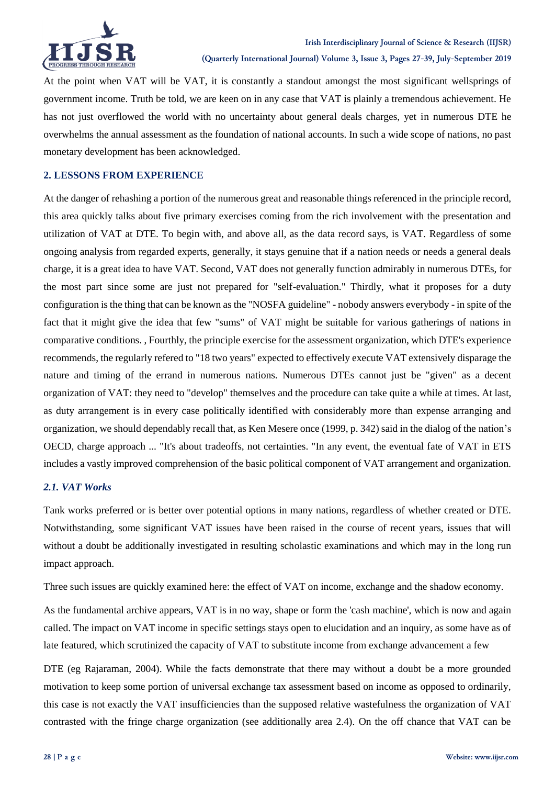

At the point when VAT will be VAT, it is constantly a standout amongst the most significant wellsprings of government income. Truth be told, we are keen on in any case that VAT is plainly a tremendous achievement. He has not just overflowed the world with no uncertainty about general deals charges, yet in numerous DTE he overwhelms the annual assessment as the foundation of national accounts. In such a wide scope of nations, no past monetary development has been acknowledged.

### **2. LESSONS FROM EXPERIENCE**

At the danger of rehashing a portion of the numerous great and reasonable things referenced in the principle record, this area quickly talks about five primary exercises coming from the rich involvement with the presentation and utilization of VAT at DTE. To begin with, and above all, as the data record says, is VAT. Regardless of some ongoing analysis from regarded experts, generally, it stays genuine that if a nation needs or needs a general deals charge, it is a great idea to have VAT. Second, VAT does not generally function admirably in numerous DTEs, for the most part since some are just not prepared for "self-evaluation." Thirdly, what it proposes for a duty configuration is the thing that can be known as the "NOSFA guideline" - nobody answers everybody - in spite of the fact that it might give the idea that few "sums" of VAT might be suitable for various gatherings of nations in comparative conditions. , Fourthly, the principle exercise for the assessment organization, which DTE's experience recommends, the regularly refered to "18 two years" expected to effectively execute VAT extensively disparage the nature and timing of the errand in numerous nations. Numerous DTEs cannot just be "given" as a decent organization of VAT: they need to "develop" themselves and the procedure can take quite a while at times. At last, as duty arrangement is in every case politically identified with considerably more than expense arranging and organization, we should dependably recall that, as Ken Mesere once (1999, p. 342) said in the dialog of the nation's OECD, charge approach ... "It's about tradeoffs, not certainties. "In any event, the eventual fate of VAT in ETS includes a vastly improved comprehension of the basic political component of VAT arrangement and organization.

### *2.1. VAT Works*

Tank works preferred or is better over potential options in many nations, regardless of whether created or DTE. Notwithstanding, some significant VAT issues have been raised in the course of recent years, issues that will without a doubt be additionally investigated in resulting scholastic examinations and which may in the long run impact approach.

Three such issues are quickly examined here: the effect of VAT on income, exchange and the shadow economy.

As the fundamental archive appears, VAT is in no way, shape or form the 'cash machine', which is now and again called. The impact on VAT income in specific settings stays open to elucidation and an inquiry, as some have as of late featured, which scrutinized the capacity of VAT to substitute income from exchange advancement a few

DTE (eg Rajaraman, 2004). While the facts demonstrate that there may without a doubt be a more grounded motivation to keep some portion of universal exchange tax assessment based on income as opposed to ordinarily, this case is not exactly the VAT insufficiencies than the supposed relative wastefulness the organization of VAT contrasted with the fringe charge organization (see additionally area 2.4). On the off chance that VAT can be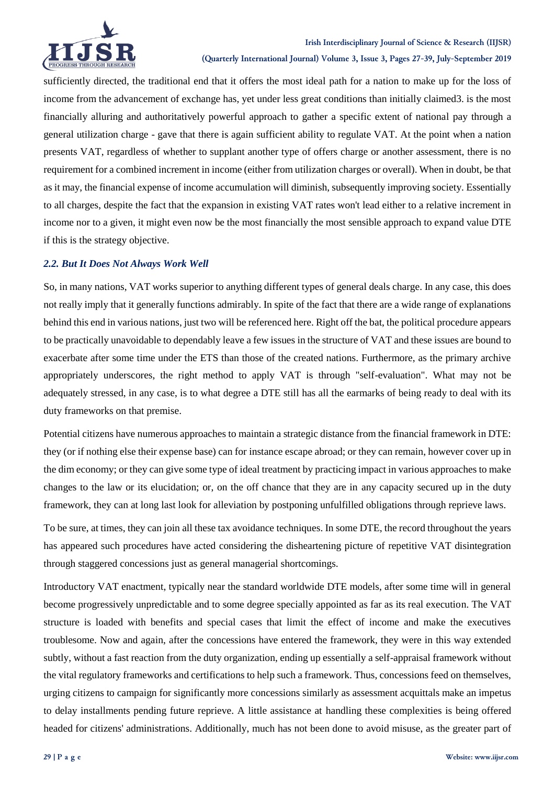

sufficiently directed, the traditional end that it offers the most ideal path for a nation to make up for the loss of income from the advancement of exchange has, yet under less great conditions than initially claimed3. is the most financially alluring and authoritatively powerful approach to gather a specific extent of national pay through a general utilization charge - gave that there is again sufficient ability to regulate VAT. At the point when a nation presents VAT, regardless of whether to supplant another type of offers charge or another assessment, there is no requirement for a combined increment in income (either from utilization charges or overall). When in doubt, be that as it may, the financial expense of income accumulation will diminish, subsequently improving society. Essentially to all charges, despite the fact that the expansion in existing VAT rates won't lead either to a relative increment in income nor to a given, it might even now be the most financially the most sensible approach to expand value DTE if this is the strategy objective.

### *2.2. But It Does Not Always Work Well*

So, in many nations, VAT works superior to anything different types of general deals charge. In any case, this does not really imply that it generally functions admirably. In spite of the fact that there are a wide range of explanations behind this end in various nations, just two will be referenced here. Right off the bat, the political procedure appears to be practically unavoidable to dependably leave a few issues in the structure of VAT and these issues are bound to exacerbate after some time under the ETS than those of the created nations. Furthermore, as the primary archive appropriately underscores, the right method to apply VAT is through "self-evaluation". What may not be adequately stressed, in any case, is to what degree a DTE still has all the earmarks of being ready to deal with its duty frameworks on that premise.

Potential citizens have numerous approaches to maintain a strategic distance from the financial framework in DTE: they (or if nothing else their expense base) can for instance escape abroad; or they can remain, however cover up in the dim economy; or they can give some type of ideal treatment by practicing impact in various approaches to make changes to the law or its elucidation; or, on the off chance that they are in any capacity secured up in the duty framework, they can at long last look for alleviation by postponing unfulfilled obligations through reprieve laws.

To be sure, at times, they can join all these tax avoidance techniques. In some DTE, the record throughout the years has appeared such procedures have acted considering the disheartening picture of repetitive VAT disintegration through staggered concessions just as general managerial shortcomings.

Introductory VAT enactment, typically near the standard worldwide DTE models, after some time will in general become progressively unpredictable and to some degree specially appointed as far as its real execution. The VAT structure is loaded with benefits and special cases that limit the effect of income and make the executives troublesome. Now and again, after the concessions have entered the framework, they were in this way extended subtly, without a fast reaction from the duty organization, ending up essentially a self-appraisal framework without the vital regulatory frameworks and certifications to help such a framework. Thus, concessions feed on themselves, urging citizens to campaign for significantly more concessions similarly as assessment acquittals make an impetus to delay installments pending future reprieve. A little assistance at handling these complexities is being offered headed for citizens' administrations. Additionally, much has not been done to avoid misuse, as the greater part of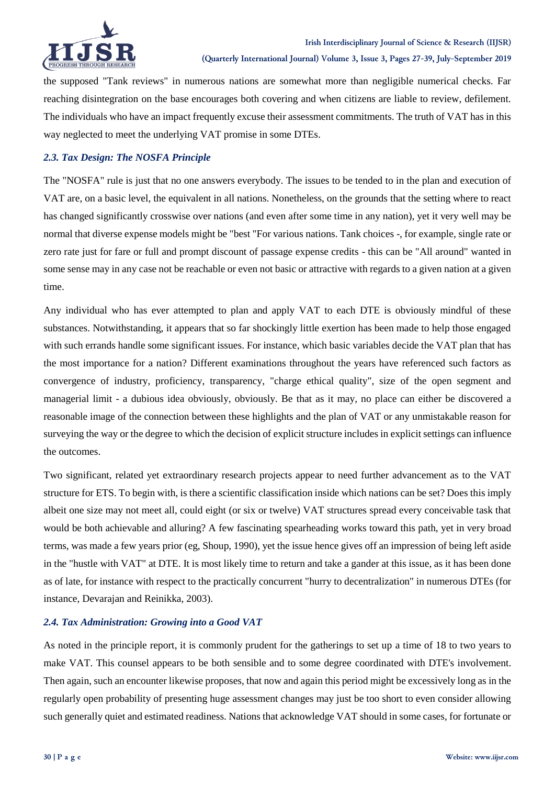

the supposed "Tank reviews" in numerous nations are somewhat more than negligible numerical checks. Far reaching disintegration on the base encourages both covering and when citizens are liable to review, defilement. The individuals who have an impact frequently excuse their assessment commitments. The truth of VAT has in this way neglected to meet the underlying VAT promise in some DTEs.

## *2.3. Tax Design: The NOSFA Principle*

The "NOSFA" rule is just that no one answers everybody. The issues to be tended to in the plan and execution of VAT are, on a basic level, the equivalent in all nations. Nonetheless, on the grounds that the setting where to react has changed significantly crosswise over nations (and even after some time in any nation), yet it very well may be normal that diverse expense models might be "best "For various nations. Tank choices -, for example, single rate or zero rate just for fare or full and prompt discount of passage expense credits - this can be "All around" wanted in some sense may in any case not be reachable or even not basic or attractive with regards to a given nation at a given time.

Any individual who has ever attempted to plan and apply VAT to each DTE is obviously mindful of these substances. Notwithstanding, it appears that so far shockingly little exertion has been made to help those engaged with such errands handle some significant issues. For instance, which basic variables decide the VAT plan that has the most importance for a nation? Different examinations throughout the years have referenced such factors as convergence of industry, proficiency, transparency, "charge ethical quality", size of the open segment and managerial limit - a dubious idea obviously, obviously. Be that as it may, no place can either be discovered a reasonable image of the connection between these highlights and the plan of VAT or any unmistakable reason for surveying the way or the degree to which the decision of explicit structure includes in explicit settings can influence the outcomes.

Two significant, related yet extraordinary research projects appear to need further advancement as to the VAT structure for ETS. To begin with, is there a scientific classification inside which nations can be set? Does this imply albeit one size may not meet all, could eight (or six or twelve) VAT structures spread every conceivable task that would be both achievable and alluring? A few fascinating spearheading works toward this path, yet in very broad terms, was made a few years prior (eg, Shoup, 1990), yet the issue hence gives off an impression of being left aside in the "hustle with VAT" at DTE. It is most likely time to return and take a gander at this issue, as it has been done as of late, for instance with respect to the practically concurrent "hurry to decentralization" in numerous DTEs (for instance, Devarajan and Reinikka, 2003).

### *2.4. Tax Administration: Growing into a Good VAT*

As noted in the principle report, it is commonly prudent for the gatherings to set up a time of 18 to two years to make VAT. This counsel appears to be both sensible and to some degree coordinated with DTE's involvement. Then again, such an encounter likewise proposes, that now and again this period might be excessively long as in the regularly open probability of presenting huge assessment changes may just be too short to even consider allowing such generally quiet and estimated readiness. Nations that acknowledge VAT should in some cases, for fortunate or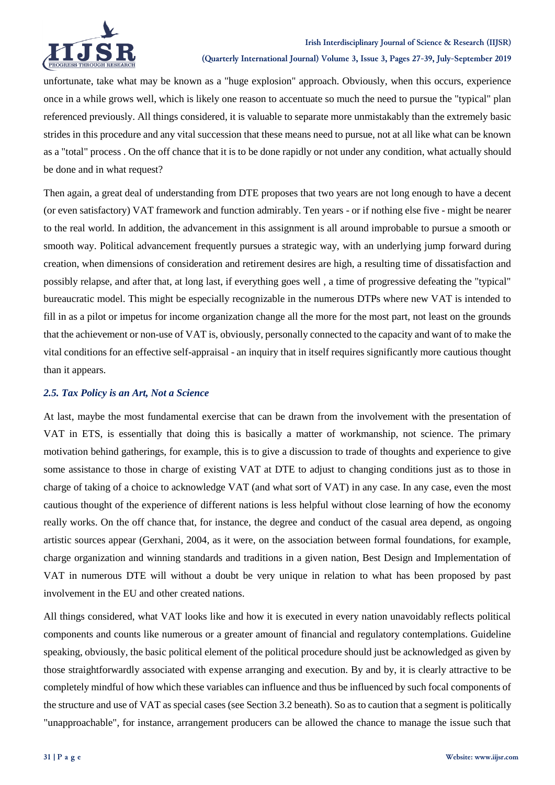

unfortunate, take what may be known as a "huge explosion" approach. Obviously, when this occurs, experience once in a while grows well, which is likely one reason to accentuate so much the need to pursue the "typical" plan referenced previously. All things considered, it is valuable to separate more unmistakably than the extremely basic strides in this procedure and any vital succession that these means need to pursue, not at all like what can be known as a "total" process . On the off chance that it is to be done rapidly or not under any condition, what actually should be done and in what request?

Then again, a great deal of understanding from DTE proposes that two years are not long enough to have a decent (or even satisfactory) VAT framework and function admirably. Ten years - or if nothing else five - might be nearer to the real world. In addition, the advancement in this assignment is all around improbable to pursue a smooth or smooth way. Political advancement frequently pursues a strategic way, with an underlying jump forward during creation, when dimensions of consideration and retirement desires are high, a resulting time of dissatisfaction and possibly relapse, and after that, at long last, if everything goes well , a time of progressive defeating the "typical" bureaucratic model. This might be especially recognizable in the numerous DTPs where new VAT is intended to fill in as a pilot or impetus for income organization change all the more for the most part, not least on the grounds that the achievement or non-use of VAT is, obviously, personally connected to the capacity and want of to make the vital conditions for an effective self-appraisal - an inquiry that in itself requires significantly more cautious thought than it appears.

### *2.5. Tax Policy is an Art, Not a Science*

At last, maybe the most fundamental exercise that can be drawn from the involvement with the presentation of VAT in ETS, is essentially that doing this is basically a matter of workmanship, not science. The primary motivation behind gatherings, for example, this is to give a discussion to trade of thoughts and experience to give some assistance to those in charge of existing VAT at DTE to adjust to changing conditions just as to those in charge of taking of a choice to acknowledge VAT (and what sort of VAT) in any case. In any case, even the most cautious thought of the experience of different nations is less helpful without close learning of how the economy really works. On the off chance that, for instance, the degree and conduct of the casual area depend, as ongoing artistic sources appear (Gerxhani, 2004, as it were, on the association between formal foundations, for example, charge organization and winning standards and traditions in a given nation, Best Design and Implementation of VAT in numerous DTE will without a doubt be very unique in relation to what has been proposed by past involvement in the EU and other created nations.

All things considered, what VAT looks like and how it is executed in every nation unavoidably reflects political components and counts like numerous or a greater amount of financial and regulatory contemplations. Guideline speaking, obviously, the basic political element of the political procedure should just be acknowledged as given by those straightforwardly associated with expense arranging and execution. By and by, it is clearly attractive to be completely mindful of how which these variables can influence and thus be influenced by such focal components of the structure and use of VAT as special cases (see Section 3.2 beneath). So as to caution that a segment is politically "unapproachable", for instance, arrangement producers can be allowed the chance to manage the issue such that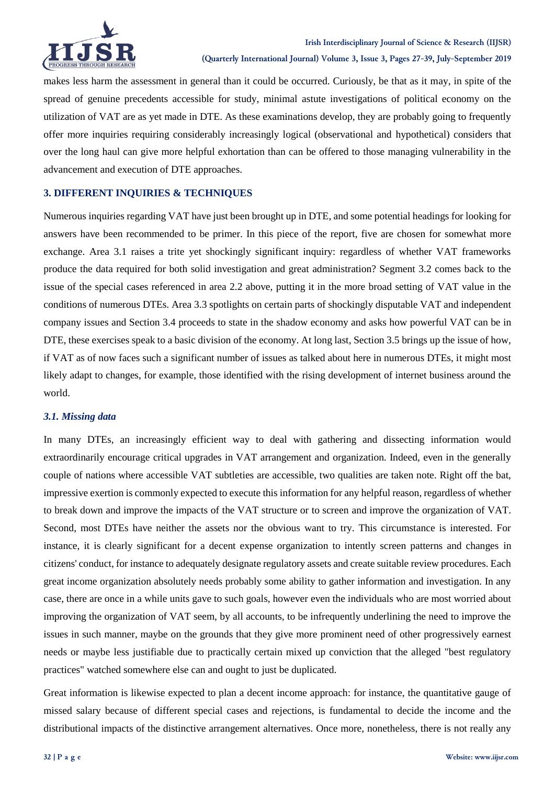

makes less harm the assessment in general than it could be occurred. Curiously, be that as it may, in spite of the spread of genuine precedents accessible for study, minimal astute investigations of political economy on the utilization of VAT are as yet made in DTE. As these examinations develop, they are probably going to frequently offer more inquiries requiring considerably increasingly logical (observational and hypothetical) considers that over the long haul can give more helpful exhortation than can be offered to those managing vulnerability in the advancement and execution of DTE approaches.

## **3. DIFFERENT INQUIRIES & TECHNIQUES**

Numerous inquiries regarding VAT have just been brought up in DTE, and some potential headings for looking for answers have been recommended to be primer. In this piece of the report, five are chosen for somewhat more exchange. Area 3.1 raises a trite yet shockingly significant inquiry: regardless of whether VAT frameworks produce the data required for both solid investigation and great administration? Segment 3.2 comes back to the issue of the special cases referenced in area 2.2 above, putting it in the more broad setting of VAT value in the conditions of numerous DTEs. Area 3.3 spotlights on certain parts of shockingly disputable VAT and independent company issues and Section 3.4 proceeds to state in the shadow economy and asks how powerful VAT can be in DTE, these exercises speak to a basic division of the economy. At long last, Section 3.5 brings up the issue of how, if VAT as of now faces such a significant number of issues as talked about here in numerous DTEs, it might most likely adapt to changes, for example, those identified with the rising development of internet business around the world.

### *3.1. Missing data*

In many DTEs, an increasingly efficient way to deal with gathering and dissecting information would extraordinarily encourage critical upgrades in VAT arrangement and organization. Indeed, even in the generally couple of nations where accessible VAT subtleties are accessible, two qualities are taken note. Right off the bat, impressive exertion is commonly expected to execute this information for any helpful reason, regardless of whether to break down and improve the impacts of the VAT structure or to screen and improve the organization of VAT. Second, most DTEs have neither the assets nor the obvious want to try. This circumstance is interested. For instance, it is clearly significant for a decent expense organization to intently screen patterns and changes in citizens' conduct, for instance to adequately designate regulatory assets and create suitable review procedures. Each great income organization absolutely needs probably some ability to gather information and investigation. In any case, there are once in a while units gave to such goals, however even the individuals who are most worried about improving the organization of VAT seem, by all accounts, to be infrequently underlining the need to improve the issues in such manner, maybe on the grounds that they give more prominent need of other progressively earnest needs or maybe less justifiable due to practically certain mixed up conviction that the alleged "best regulatory practices" watched somewhere else can and ought to just be duplicated.

Great information is likewise expected to plan a decent income approach: for instance, the quantitative gauge of missed salary because of different special cases and rejections, is fundamental to decide the income and the distributional impacts of the distinctive arrangement alternatives. Once more, nonetheless, there is not really any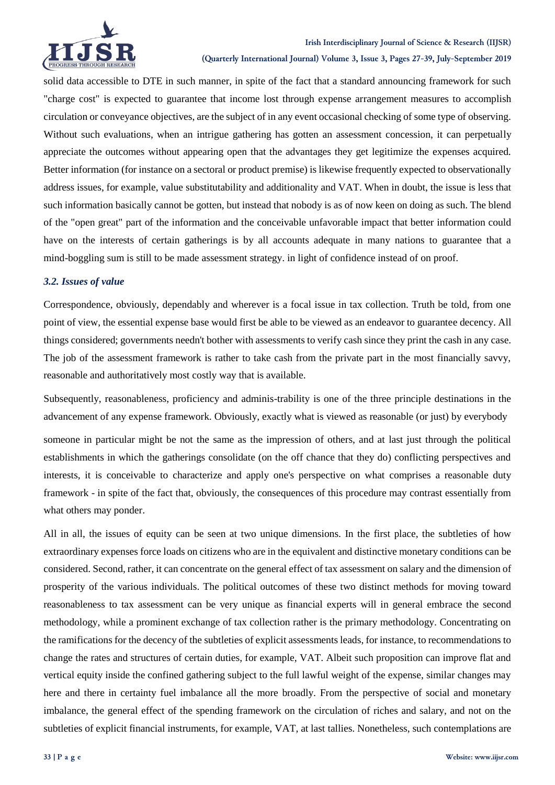

#### **(Quarterly International Journal) Volume 3, Issue 3, Pages 27-39, July-September 2019**

solid data accessible to DTE in such manner, in spite of the fact that a standard announcing framework for such "charge cost" is expected to guarantee that income lost through expense arrangement measures to accomplish circulation or conveyance objectives, are the subject of in any event occasional checking of some type of observing. Without such evaluations, when an intrigue gathering has gotten an assessment concession, it can perpetually appreciate the outcomes without appearing open that the advantages they get legitimize the expenses acquired. Better information (for instance on a sectoral or product premise) is likewise frequently expected to observationally address issues, for example, value substitutability and additionality and VAT. When in doubt, the issue is less that such information basically cannot be gotten, but instead that nobody is as of now keen on doing as such. The blend of the "open great" part of the information and the conceivable unfavorable impact that better information could have on the interests of certain gatherings is by all accounts adequate in many nations to guarantee that a mind-boggling sum is still to be made assessment strategy. in light of confidence instead of on proof.

### *3.2. Issues of value*

Correspondence, obviously, dependably and wherever is a focal issue in tax collection. Truth be told, from one point of view, the essential expense base would first be able to be viewed as an endeavor to guarantee decency. All things considered; governments needn't bother with assessments to verify cash since they print the cash in any case. The job of the assessment framework is rather to take cash from the private part in the most financially savvy, reasonable and authoritatively most costly way that is available.

Subsequently, reasonableness, proficiency and adminis-trability is one of the three principle destinations in the advancement of any expense framework. Obviously, exactly what is viewed as reasonable (or just) by everybody

someone in particular might be not the same as the impression of others, and at last just through the political establishments in which the gatherings consolidate (on the off chance that they do) conflicting perspectives and interests, it is conceivable to characterize and apply one's perspective on what comprises a reasonable duty framework - in spite of the fact that, obviously, the consequences of this procedure may contrast essentially from what others may ponder.

All in all, the issues of equity can be seen at two unique dimensions. In the first place, the subtleties of how extraordinary expenses force loads on citizens who are in the equivalent and distinctive monetary conditions can be considered. Second, rather, it can concentrate on the general effect of tax assessment on salary and the dimension of prosperity of the various individuals. The political outcomes of these two distinct methods for moving toward reasonableness to tax assessment can be very unique as financial experts will in general embrace the second methodology, while a prominent exchange of tax collection rather is the primary methodology. Concentrating on the ramifications for the decency of the subtleties of explicit assessments leads, for instance, to recommendations to change the rates and structures of certain duties, for example, VAT. Albeit such proposition can improve flat and vertical equity inside the confined gathering subject to the full lawful weight of the expense, similar changes may here and there in certainty fuel imbalance all the more broadly. From the perspective of social and monetary imbalance, the general effect of the spending framework on the circulation of riches and salary, and not on the subtleties of explicit financial instruments, for example, VAT, at last tallies. Nonetheless, such contemplations are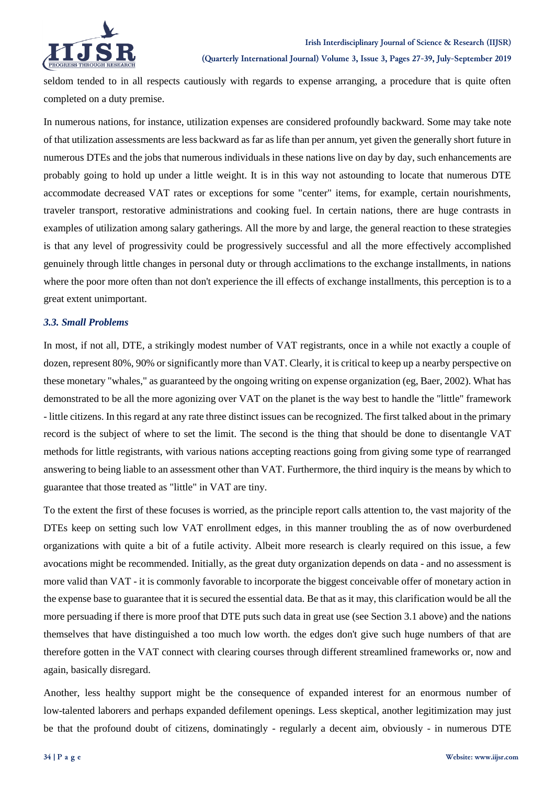

seldom tended to in all respects cautiously with regards to expense arranging, a procedure that is quite often completed on a duty premise.

In numerous nations, for instance, utilization expenses are considered profoundly backward. Some may take note of that utilization assessments are less backward as far as life than per annum, yet given the generally short future in numerous DTEs and the jobs that numerous individuals in these nations live on day by day, such enhancements are probably going to hold up under a little weight. It is in this way not astounding to locate that numerous DTE accommodate decreased VAT rates or exceptions for some "center" items, for example, certain nourishments, traveler transport, restorative administrations and cooking fuel. In certain nations, there are huge contrasts in examples of utilization among salary gatherings. All the more by and large, the general reaction to these strategies is that any level of progressivity could be progressively successful and all the more effectively accomplished genuinely through little changes in personal duty or through acclimations to the exchange installments, in nations where the poor more often than not don't experience the ill effects of exchange installments, this perception is to a great extent unimportant.

### *3.3. Small Problems*

In most, if not all, DTE, a strikingly modest number of VAT registrants, once in a while not exactly a couple of dozen, represent 80%, 90% or significantly more than VAT. Clearly, it is critical to keep up a nearby perspective on these monetary "whales," as guaranteed by the ongoing writing on expense organization (eg, Baer, 2002). What has demonstrated to be all the more agonizing over VAT on the planet is the way best to handle the "little" framework - little citizens. In this regard at any rate three distinct issues can be recognized. The first talked about in the primary record is the subject of where to set the limit. The second is the thing that should be done to disentangle VAT methods for little registrants, with various nations accepting reactions going from giving some type of rearranged answering to being liable to an assessment other than VAT. Furthermore, the third inquiry is the means by which to guarantee that those treated as "little" in VAT are tiny.

To the extent the first of these focuses is worried, as the principle report calls attention to, the vast majority of the DTEs keep on setting such low VAT enrollment edges, in this manner troubling the as of now overburdened organizations with quite a bit of a futile activity. Albeit more research is clearly required on this issue, a few avocations might be recommended. Initially, as the great duty organization depends on data - and no assessment is more valid than VAT - it is commonly favorable to incorporate the biggest conceivable offer of monetary action in the expense base to guarantee that it is secured the essential data. Be that as it may, this clarification would be all the more persuading if there is more proof that DTE puts such data in great use (see Section 3.1 above) and the nations themselves that have distinguished a too much low worth. the edges don't give such huge numbers of that are therefore gotten in the VAT connect with clearing courses through different streamlined frameworks or, now and again, basically disregard.

Another, less healthy support might be the consequence of expanded interest for an enormous number of low-talented laborers and perhaps expanded defilement openings. Less skeptical, another legitimization may just be that the profound doubt of citizens, dominatingly - regularly a decent aim, obviously - in numerous DTE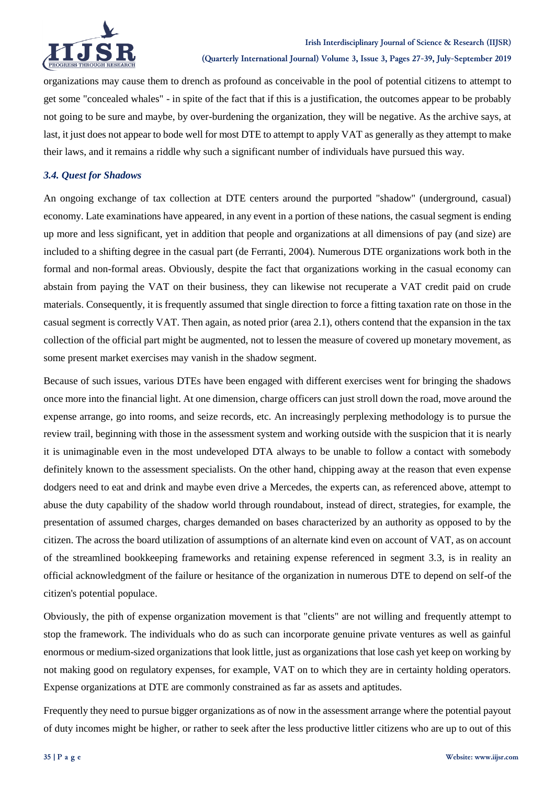

organizations may cause them to drench as profound as conceivable in the pool of potential citizens to attempt to get some "concealed whales" - in spite of the fact that if this is a justification, the outcomes appear to be probably not going to be sure and maybe, by over-burdening the organization, they will be negative. As the archive says, at last, it just does not appear to bode well for most DTE to attempt to apply VAT as generally as they attempt to make their laws, and it remains a riddle why such a significant number of individuals have pursued this way.

### *3.4. Quest for Shadows*

An ongoing exchange of tax collection at DTE centers around the purported "shadow" (underground, casual) economy. Late examinations have appeared, in any event in a portion of these nations, the casual segment is ending up more and less significant, yet in addition that people and organizations at all dimensions of pay (and size) are included to a shifting degree in the casual part (de Ferranti, 2004). Numerous DTE organizations work both in the formal and non-formal areas. Obviously, despite the fact that organizations working in the casual economy can abstain from paying the VAT on their business, they can likewise not recuperate a VAT credit paid on crude materials. Consequently, it is frequently assumed that single direction to force a fitting taxation rate on those in the casual segment is correctly VAT. Then again, as noted prior (area 2.1), others contend that the expansion in the tax collection of the official part might be augmented, not to lessen the measure of covered up monetary movement, as some present market exercises may vanish in the shadow segment.

Because of such issues, various DTEs have been engaged with different exercises went for bringing the shadows once more into the financial light. At one dimension, charge officers can just stroll down the road, move around the expense arrange, go into rooms, and seize records, etc. An increasingly perplexing methodology is to pursue the review trail, beginning with those in the assessment system and working outside with the suspicion that it is nearly it is unimaginable even in the most undeveloped DTA always to be unable to follow a contact with somebody definitely known to the assessment specialists. On the other hand, chipping away at the reason that even expense dodgers need to eat and drink and maybe even drive a Mercedes, the experts can, as referenced above, attempt to abuse the duty capability of the shadow world through roundabout, instead of direct, strategies, for example, the presentation of assumed charges, charges demanded on bases characterized by an authority as opposed to by the citizen. The across the board utilization of assumptions of an alternate kind even on account of VAT, as on account of the streamlined bookkeeping frameworks and retaining expense referenced in segment 3.3, is in reality an official acknowledgment of the failure or hesitance of the organization in numerous DTE to depend on self-of the citizen's potential populace.

Obviously, the pith of expense organization movement is that "clients" are not willing and frequently attempt to stop the framework. The individuals who do as such can incorporate genuine private ventures as well as gainful enormous or medium-sized organizations that look little, just as organizations that lose cash yet keep on working by not making good on regulatory expenses, for example, VAT on to which they are in certainty holding operators. Expense organizations at DTE are commonly constrained as far as assets and aptitudes.

Frequently they need to pursue bigger organizations as of now in the assessment arrange where the potential payout of duty incomes might be higher, or rather to seek after the less productive littler citizens who are up to out of this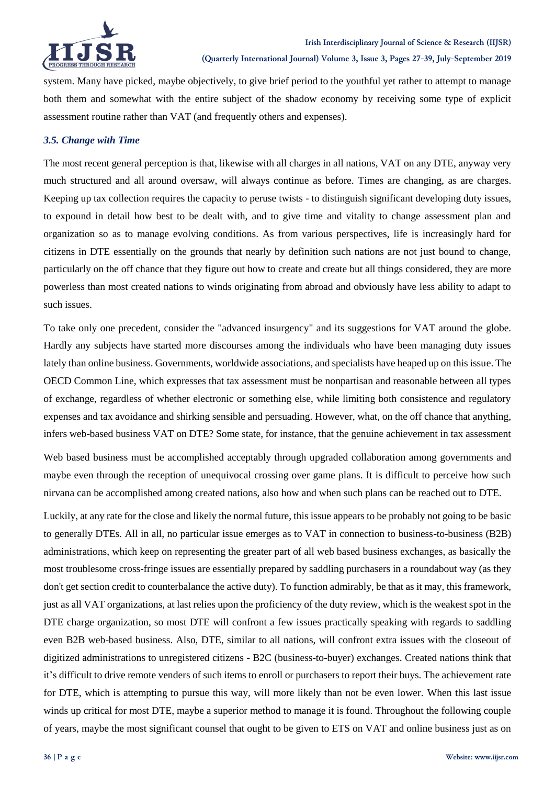

system. Many have picked, maybe objectively, to give brief period to the youthful yet rather to attempt to manage both them and somewhat with the entire subject of the shadow economy by receiving some type of explicit assessment routine rather than VAT (and frequently others and expenses).

### *3.5. Change with Time*

The most recent general perception is that, likewise with all charges in all nations, VAT on any DTE, anyway very much structured and all around oversaw, will always continue as before. Times are changing, as are charges. Keeping up tax collection requires the capacity to peruse twists - to distinguish significant developing duty issues, to expound in detail how best to be dealt with, and to give time and vitality to change assessment plan and organization so as to manage evolving conditions. As from various perspectives, life is increasingly hard for citizens in DTE essentially on the grounds that nearly by definition such nations are not just bound to change, particularly on the off chance that they figure out how to create and create but all things considered, they are more powerless than most created nations to winds originating from abroad and obviously have less ability to adapt to such issues.

To take only one precedent, consider the "advanced insurgency" and its suggestions for VAT around the globe. Hardly any subjects have started more discourses among the individuals who have been managing duty issues lately than online business. Governments, worldwide associations, and specialists have heaped up on this issue. The OECD Common Line, which expresses that tax assessment must be nonpartisan and reasonable between all types of exchange, regardless of whether electronic or something else, while limiting both consistence and regulatory expenses and tax avoidance and shirking sensible and persuading. However, what, on the off chance that anything, infers web-based business VAT on DTE? Some state, for instance, that the genuine achievement in tax assessment

Web based business must be accomplished acceptably through upgraded collaboration among governments and maybe even through the reception of unequivocal crossing over game plans. It is difficult to perceive how such nirvana can be accomplished among created nations, also how and when such plans can be reached out to DTE.

Luckily, at any rate for the close and likely the normal future, this issue appears to be probably not going to be basic to generally DTEs. All in all, no particular issue emerges as to VAT in connection to business-to-business (B2B) administrations, which keep on representing the greater part of all web based business exchanges, as basically the most troublesome cross-fringe issues are essentially prepared by saddling purchasers in a roundabout way (as they don't get section credit to counterbalance the active duty). To function admirably, be that as it may, this framework, just as all VAT organizations, at last relies upon the proficiency of the duty review, which is the weakest spot in the DTE charge organization, so most DTE will confront a few issues practically speaking with regards to saddling even B2B web-based business. Also, DTE, similar to all nations, will confront extra issues with the closeout of digitized administrations to unregistered citizens - B2C (business-to-buyer) exchanges. Created nations think that it's difficult to drive remote venders of such items to enroll or purchasers to report their buys. The achievement rate for DTE, which is attempting to pursue this way, will more likely than not be even lower. When this last issue winds up critical for most DTE, maybe a superior method to manage it is found. Throughout the following couple of years, maybe the most significant counsel that ought to be given to ETS on VAT and online business just as on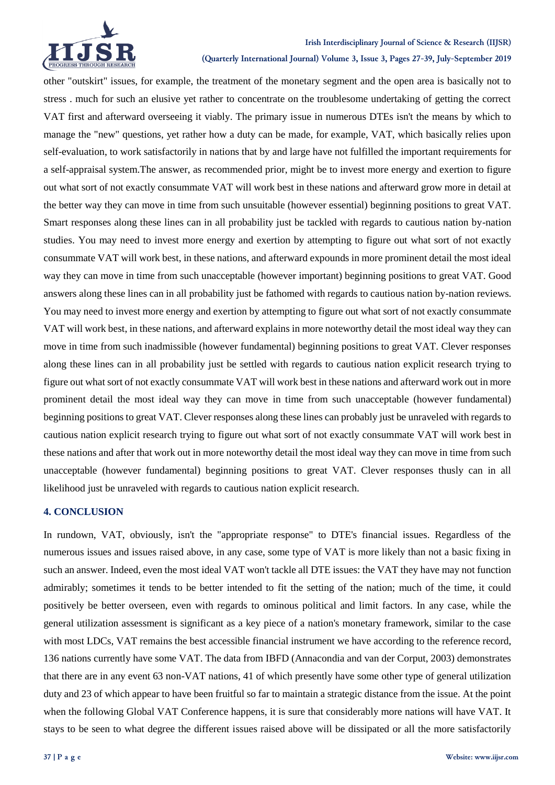

#### **Irish Interdisciplinary Journal of Science & Research (IIJSR)**

**(Quarterly International Journal) Volume 3, Issue 3, Pages 27-39, July-September 2019**

other "outskirt" issues, for example, the treatment of the monetary segment and the open area is basically not to stress . much for such an elusive yet rather to concentrate on the troublesome undertaking of getting the correct VAT first and afterward overseeing it viably. The primary issue in numerous DTEs isn't the means by which to manage the "new" questions, yet rather how a duty can be made, for example, VAT, which basically relies upon self-evaluation, to work satisfactorily in nations that by and large have not fulfilled the important requirements for a self-appraisal system.The answer, as recommended prior, might be to invest more energy and exertion to figure out what sort of not exactly consummate VAT will work best in these nations and afterward grow more in detail at the better way they can move in time from such unsuitable (however essential) beginning positions to great VAT. Smart responses along these lines can in all probability just be tackled with regards to cautious nation by-nation studies. You may need to invest more energy and exertion by attempting to figure out what sort of not exactly consummate VAT will work best, in these nations, and afterward expounds in more prominent detail the most ideal way they can move in time from such unacceptable (however important) beginning positions to great VAT. Good answers along these lines can in all probability just be fathomed with regards to cautious nation by-nation reviews. You may need to invest more energy and exertion by attempting to figure out what sort of not exactly consummate VAT will work best, in these nations, and afterward explains in more noteworthy detail the most ideal way they can move in time from such inadmissible (however fundamental) beginning positions to great VAT. Clever responses along these lines can in all probability just be settled with regards to cautious nation explicit research trying to figure out what sort of not exactly consummate VAT will work best in these nations and afterward work out in more prominent detail the most ideal way they can move in time from such unacceptable (however fundamental) beginning positions to great VAT. Clever responses along these lines can probably just be unraveled with regards to cautious nation explicit research trying to figure out what sort of not exactly consummate VAT will work best in these nations and after that work out in more noteworthy detail the most ideal way they can move in time from such unacceptable (however fundamental) beginning positions to great VAT. Clever responses thusly can in all likelihood just be unraveled with regards to cautious nation explicit research.

### **4. CONCLUSION**

In rundown, VAT, obviously, isn't the "appropriate response" to DTE's financial issues. Regardless of the numerous issues and issues raised above, in any case, some type of VAT is more likely than not a basic fixing in such an answer. Indeed, even the most ideal VAT won't tackle all DTE issues: the VAT they have may not function admirably; sometimes it tends to be better intended to fit the setting of the nation; much of the time, it could positively be better overseen, even with regards to ominous political and limit factors. In any case, while the general utilization assessment is significant as a key piece of a nation's monetary framework, similar to the case with most LDCs, VAT remains the best accessible financial instrument we have according to the reference record, 136 nations currently have some VAT. The data from IBFD (Annacondia and van der Corput, 2003) demonstrates that there are in any event 63 non-VAT nations, 41 of which presently have some other type of general utilization duty and 23 of which appear to have been fruitful so far to maintain a strategic distance from the issue. At the point when the following Global VAT Conference happens, it is sure that considerably more nations will have VAT. It stays to be seen to what degree the different issues raised above will be dissipated or all the more satisfactorily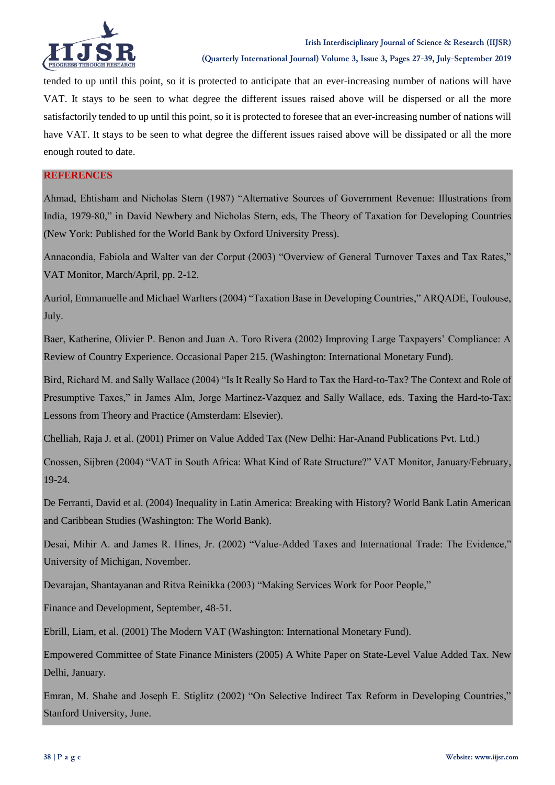

tended to up until this point, so it is protected to anticipate that an ever-increasing number of nations will have VAT. It stays to be seen to what degree the different issues raised above will be dispersed or all the more satisfactorily tended to up until this point, so it is protected to foresee that an ever-increasing number of nations will have VAT. It stays to be seen to what degree the different issues raised above will be dissipated or all the more enough routed to date.

### **REFERENCES**

Ahmad, Ehtisham and Nicholas Stern (1987) "Alternative Sources of Government Revenue: Illustrations from India, 1979-80," in David Newbery and Nicholas Stern, eds, The Theory of Taxation for Developing Countries (New York: Published for the World Bank by Oxford University Press).

Annacondia, Fabiola and Walter van der Corput (2003) "Overview of General Turnover Taxes and Tax Rates," VAT Monitor, March/April, pp. 2-12.

Auriol, Emmanuelle and Michael Warlters (2004) "Taxation Base in Developing Countries," ARQADE, Toulouse, July.

Baer, Katherine, Olivier P. Benon and Juan A. Toro Rivera (2002) Improving Large Taxpayers' Compliance: A Review of Country Experience. Occasional Paper 215. (Washington: International Monetary Fund).

Bird, Richard M. and Sally Wallace (2004) "Is It Really So Hard to Tax the Hard-to-Tax? The Context and Role of Presumptive Taxes," in James Alm, Jorge Martinez-Vazquez and Sally Wallace, eds. Taxing the Hard-to-Tax: Lessons from Theory and Practice (Amsterdam: Elsevier).

Chelliah, Raja J. et al. (2001) Primer on Value Added Tax (New Delhi: Har-Anand Publications Pvt. Ltd.)

Cnossen, Sijbren (2004) "VAT in South Africa: What Kind of Rate Structure?" VAT Monitor, January/February, 19-24.

De Ferranti, David et al. (2004) Inequality in Latin America: Breaking with History? World Bank Latin American and Caribbean Studies (Washington: The World Bank).

Desai, Mihir A. and James R. Hines, Jr. (2002) "Value-Added Taxes and International Trade: The Evidence," University of Michigan, November.

Devarajan, Shantayanan and Ritva Reinikka (2003) "Making Services Work for Poor People,"

Finance and Development, September, 48-51.

Ebrill, Liam, et al. (2001) The Modern VAT (Washington: International Monetary Fund).

Empowered Committee of State Finance Ministers (2005) A White Paper on State-Level Value Added Tax. New Delhi, January.

Emran, M. Shahe and Joseph E. Stiglitz (2002) "On Selective Indirect Tax Reform in Developing Countries," Stanford University, June.